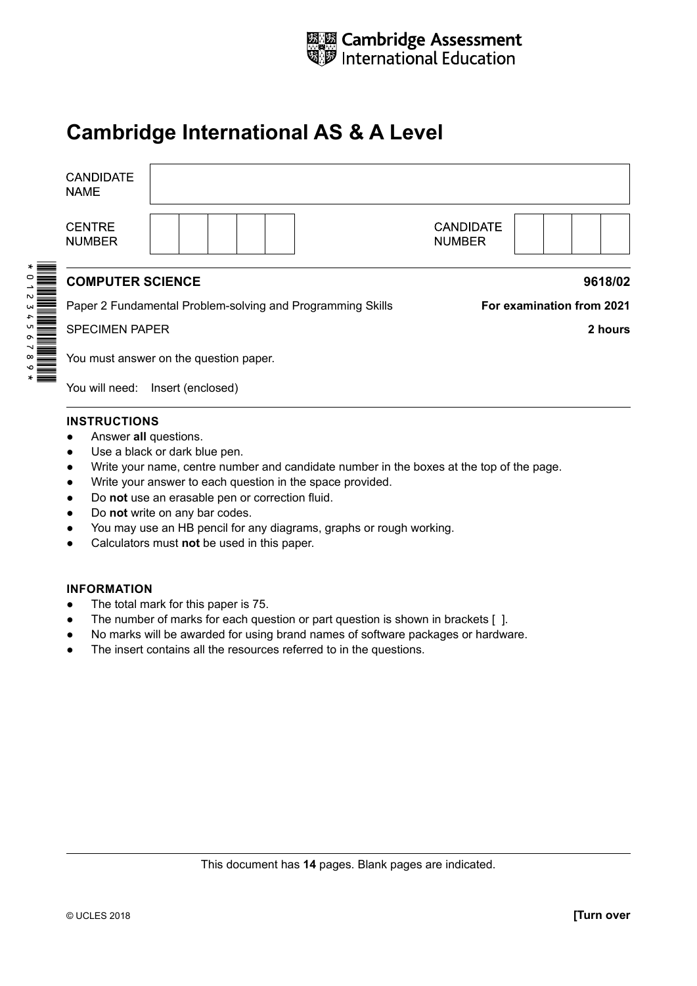

## **Cambridge International AS & A Level**

| <b>NAME</b>                    |                                                            |                                   |                           |
|--------------------------------|------------------------------------------------------------|-----------------------------------|---------------------------|
| <b>CENTRE</b><br><b>NUMBER</b> |                                                            | <b>CANDIDATE</b><br><b>NUMBER</b> |                           |
| <b>COMPUTER SCIENCE</b>        |                                                            |                                   | 9618/02                   |
|                                | Paper 2 Fundamental Problem-solving and Programming Skills |                                   | For examination from 2021 |
| <b>SPECIMEN PAPER</b>          |                                                            |                                   | 2 hours                   |
|                                | You must answer on the question paper.                     |                                   |                           |
| You will need:                 | Insert (enclosed)                                          |                                   |                           |
|                                |                                                            |                                   |                           |

## **INSTRUCTIONS**

- Answer **all** questions.
- Use a black or dark blue pen.
- Write your name, centre number and candidate number in the boxes at the top of the page.
- Write your answer to each question in the space provided.
- Do **not** use an erasable pen or correction fluid.
- Do **not** write on any bar codes.
- You may use an HB pencil for any diagrams, graphs or rough working.
- Calculators must **not** be used in this paper.

## **INFORMATION**

- The total mark for this paper is 75.
- The number of marks for each question or part question is shown in brackets [ ].
- No marks will be awarded for using brand names of software packages or hardware.
- The insert contains all the resources referred to in the questions.

This document has **14** pages. Blank pages are indicated.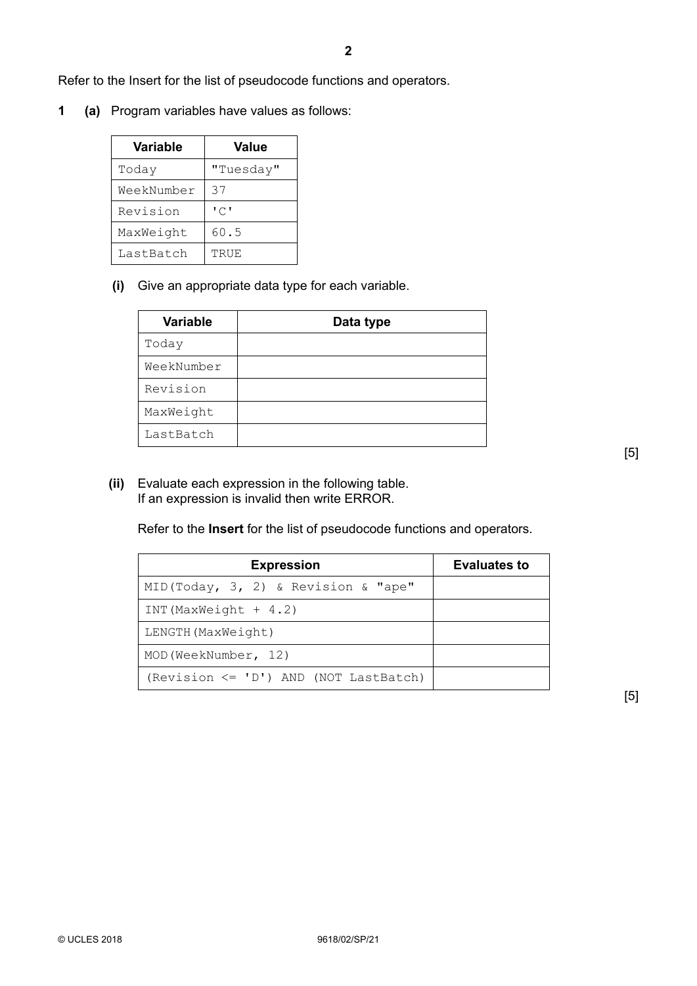Refer to the Insert for the list of pseudocode functions and operators.

**1 (a)** Program variables have values as follows:

| <b>Variable</b> | <b>Value</b> |
|-----------------|--------------|
| Today           | "Tuesday"    |
| WeekNumber      | 37           |
| Revision        | $\mathsf{C}$ |
| MaxWeight       | 60.5         |
| TastBatch       | TRUE         |

 **(i)** Give an appropriate data type for each variable.

| <b>Variable</b> | Data type |
|-----------------|-----------|
| Today           |           |
| WeekNumber      |           |
| Revision        |           |
| MaxWeight       |           |
| LastBatch       |           |

 **(ii)** Evaluate each expression in the following table. If an expression is invalid then write ERROR.

Refer to the **Insert** for the list of pseudocode functions and operators.

| <b>Expression</b>                        | <b>Evaluates to</b> |
|------------------------------------------|---------------------|
| MID(Today, 3, 2) & Revision & "ape"      |                     |
| INT (MaxWeight $+4.2$ )                  |                     |
| LENGTH (MaxWeight)                       |                     |
| MOD (WeekNumber, 12)                     |                     |
| $(Revision \le 'D') AND (NOT LastBatch)$ |                     |

[5]

[5]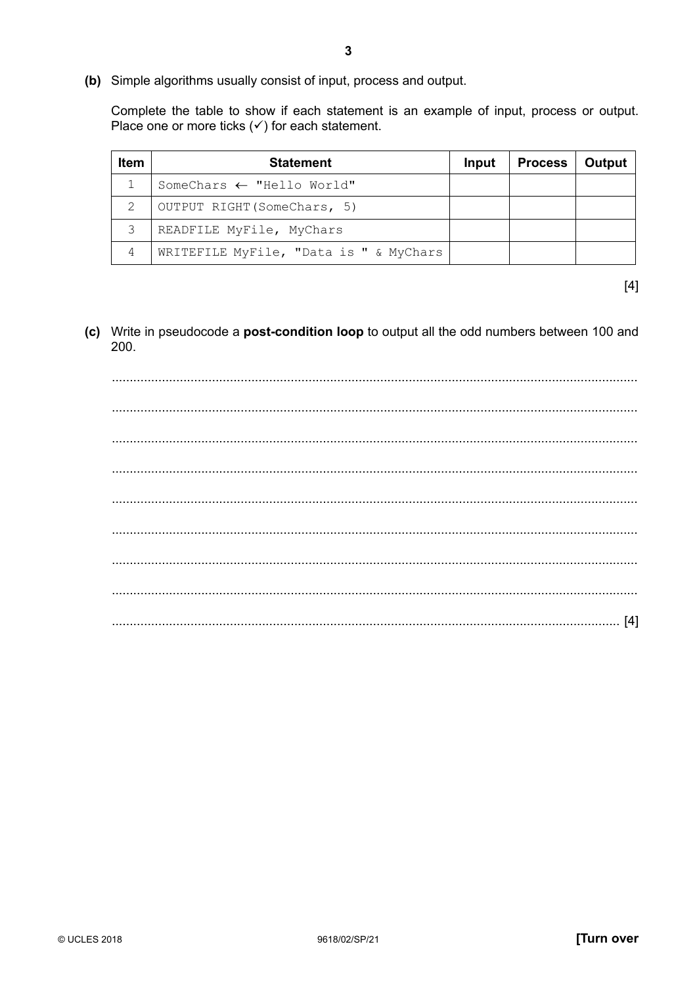(b) Simple algorithms usually consist of input, process and output.

Complete the table to show if each statement is an example of input, process or output. Place one or more ticks  $(\checkmark)$  for each statement.

| Item          | <b>Statement</b>                       | Input | <b>Process</b> | Output |
|---------------|----------------------------------------|-------|----------------|--------|
|               | SomeChars $\leftarrow$ "Hello World"   |       |                |        |
| $\mathcal{L}$ | OUTPUT RIGHT (SomeChars, 5)            |       |                |        |
|               | READFILE MyFile, MyChars               |       |                |        |
| 4             | WRITEFILE MyFile, "Data is " & MyChars |       |                |        |

 $[4]$ 

(c) Write in pseudocode a post-condition loop to output all the odd numbers between 100 and 200.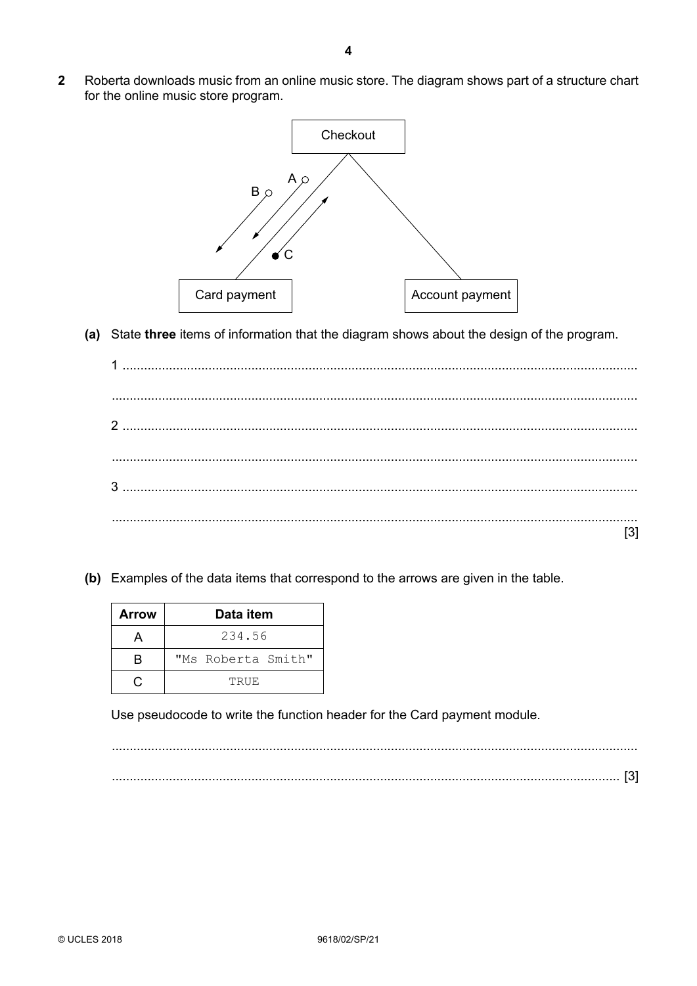

(a) State three items of information that the diagram shows about the design of the program.

 $[3]$ 

(b) Examples of the data items that correspond to the arrows are given in the table.

| <b>Arrow</b> | Data item          |  |  |
|--------------|--------------------|--|--|
|              | 234.56             |  |  |
| R            | "Ms Roberta Smith" |  |  |
|              | <b>TRUE</b>        |  |  |

Use pseudocode to write the function header for the Card payment module.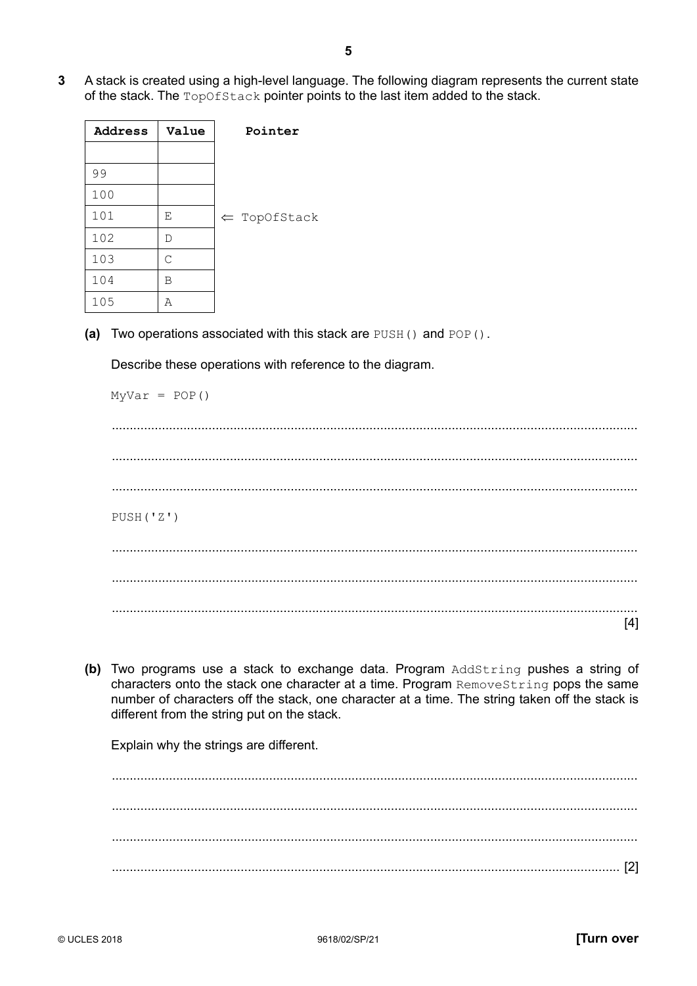$\mathbf{3}$ A stack is created using a high-level language. The following diagram represents the current state of the stack. The TopOfStack pointer points to the last item added to the stack.

| Address | Value | Pointer                 |
|---------|-------|-------------------------|
|         |       |                         |
| 99      |       |                         |
| 100     |       |                         |
| 101     | Е     | $\Leftarrow$ TopOfStack |
| 102     | D     |                         |
| 103     | С     |                         |
| 104     | B     |                         |
| 105     | А     |                         |

(a) Two operations associated with this stack are  $PUSH()$  and  $POP()$ .

Describe these operations with reference to the diagram.

|           | MyVar = POP() |  |  |  |     |
|-----------|---------------|--|--|--|-----|
|           |               |  |  |  |     |
|           |               |  |  |  |     |
| PUSH('Z') |               |  |  |  |     |
|           |               |  |  |  |     |
|           |               |  |  |  |     |
|           |               |  |  |  | [4] |

(b) Two programs use a stack to exchange data. Program AddString pushes a string of characters onto the stack one character at a time. Program RemoveString pops the same number of characters off the stack, one character at a time. The string taken off the stack is different from the string put on the stack.

Explain why the strings are different.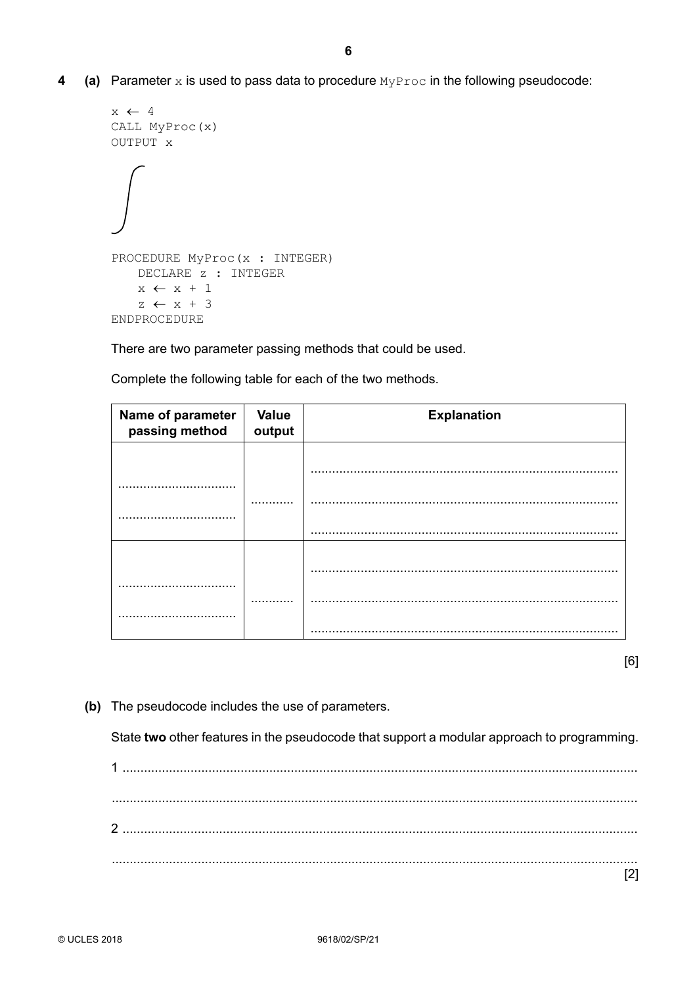(a) Parameter  $x$  is used to pass data to procedure  $MyProc$  in the following pseudocode:  $\overline{\mathbf{4}}$ 

```
x \leftarrow 4CALL MyProc(x)OUTPUT x
PROCEDURE MyProc(x : INTEGER)
    DECLARE z : INTEGER
    x \leftarrow x + 1z \leftarrow x + 3ENDPROCEDURE
```
There are two parameter passing methods that could be used.

Complete the following table for each of the two methods.

| Name of parameter<br>passing method | <b>Value</b><br>output | <b>Explanation</b> |
|-------------------------------------|------------------------|--------------------|
|                                     |                        |                    |
|                                     |                        |                    |
|                                     |                        |                    |
|                                     |                        |                    |
|                                     |                        |                    |
|                                     |                        |                    |

 $[6]$ 

(b) The pseudocode includes the use of parameters.

State two other features in the pseudocode that support a modular approach to programming.

 $[2]$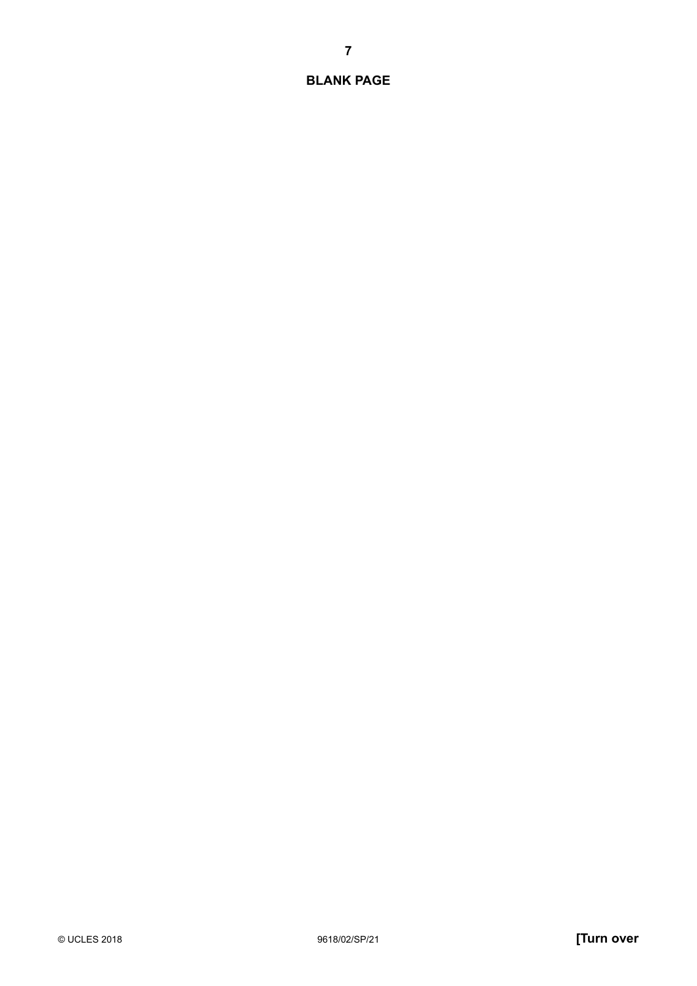## **BLANK PAGE**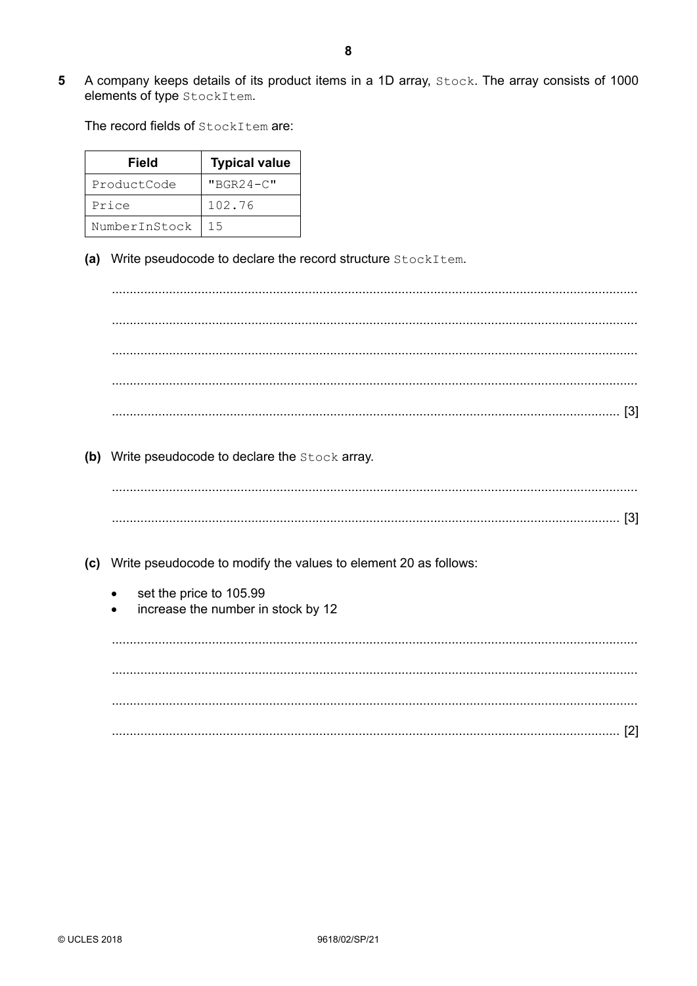The record fields of StockItem are:

| Field         | <b>Typical value</b> |
|---------------|----------------------|
| ProductCode   | $"BGR24-C"$          |
| Price         | 102.76               |
| NumberInStock | 15                   |

(a) Write pseudocode to declare the record structure StockItem.

(b) Write pseudocode to declare the Stock array.

(c) Write pseudocode to modify the values to element 20 as follows:

- set the price to 105.99
- increase the number in stock by 12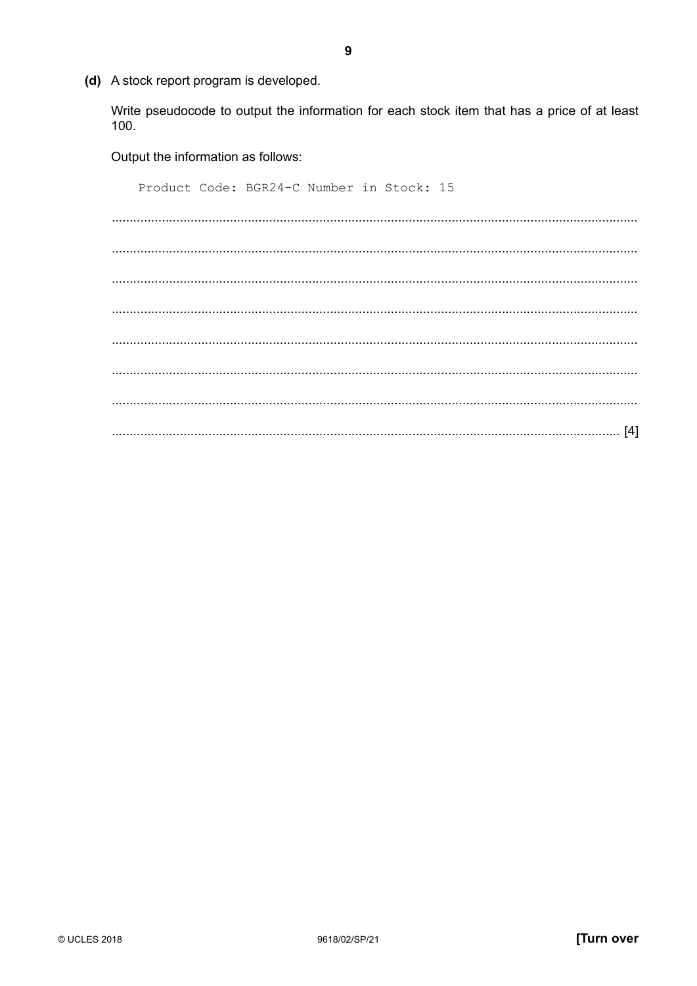(d) A stock report program is developed.

Write pseudocode to output the information for each stock item that has a price of at least 100.

Output the information as follows:

Product Code: BGR24-C Number in Stock: 15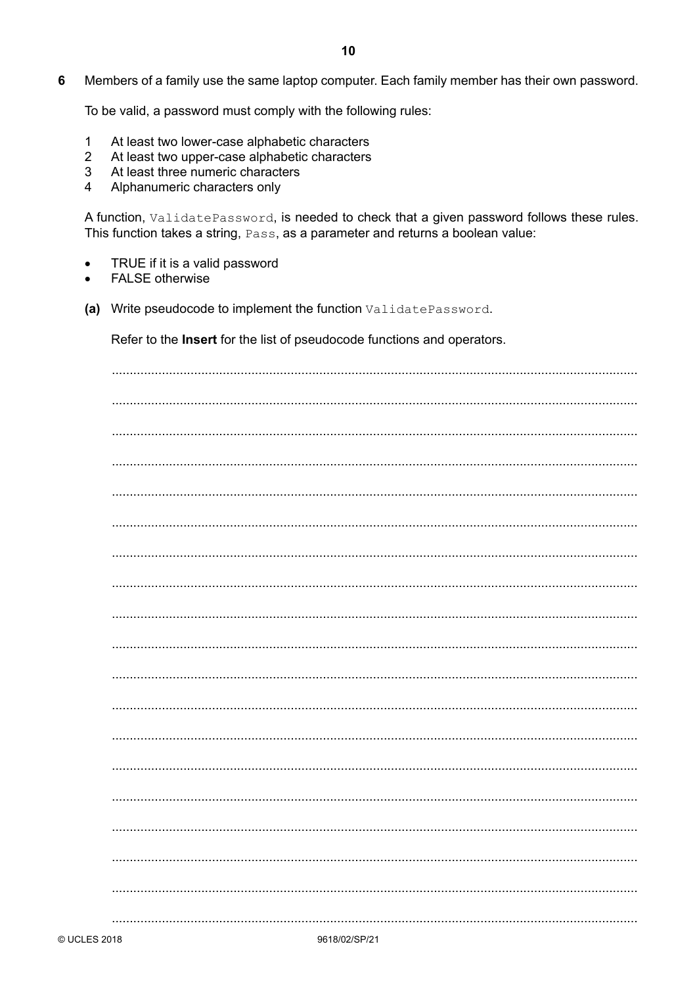6 Members of a family use the same laptop computer. Each family member has their own password.

To be valid, a password must comply with the following rules:

- $\mathbf{1}$ At least two lower-case alphabetic characters
- At least two upper-case alphabetic characters  $2^{\circ}$
- $3<sup>1</sup>$ At least three numeric characters
- Alphanumeric characters only  $\overline{4}$

A function, ValidatePassword, is needed to check that a given password follows these rules. This function takes a string, Pass, as a parameter and returns a boolean value:

- TRUE if it is a valid password  $\bullet$
- **FALSE** otherwise  $\bullet$
- (a) Write pseudocode to implement the function ValidatePassword.

Refer to the Insert for the list of pseudocode functions and operators.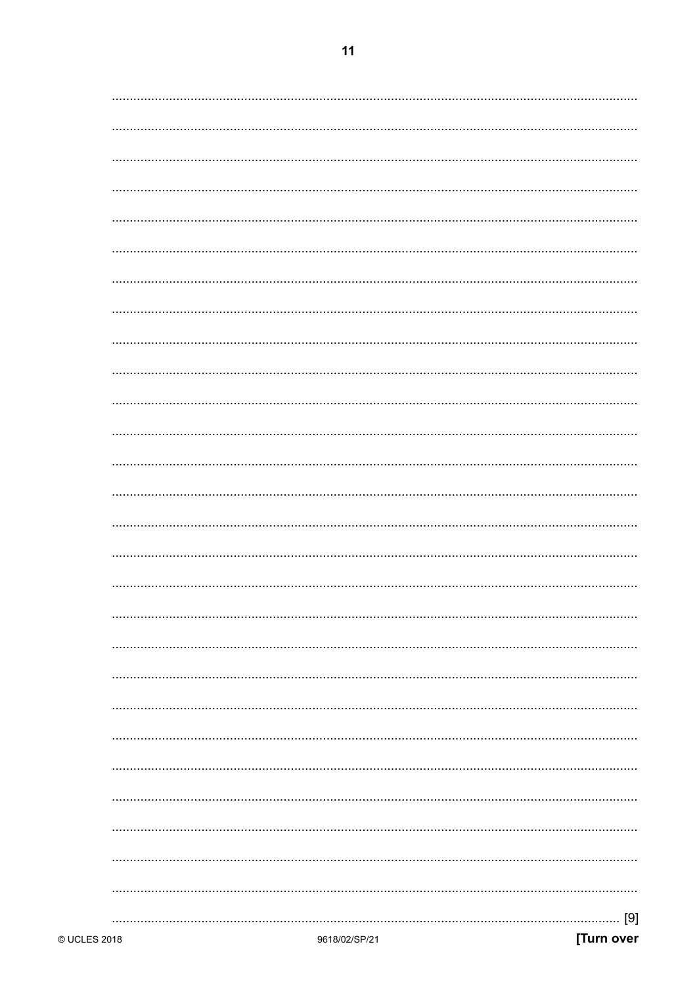© UCLES 2018

| 9618/02/SP/21 |
|---------------|
|---------------|

[Turn over

| $\ldots$ [9] |
|--------------|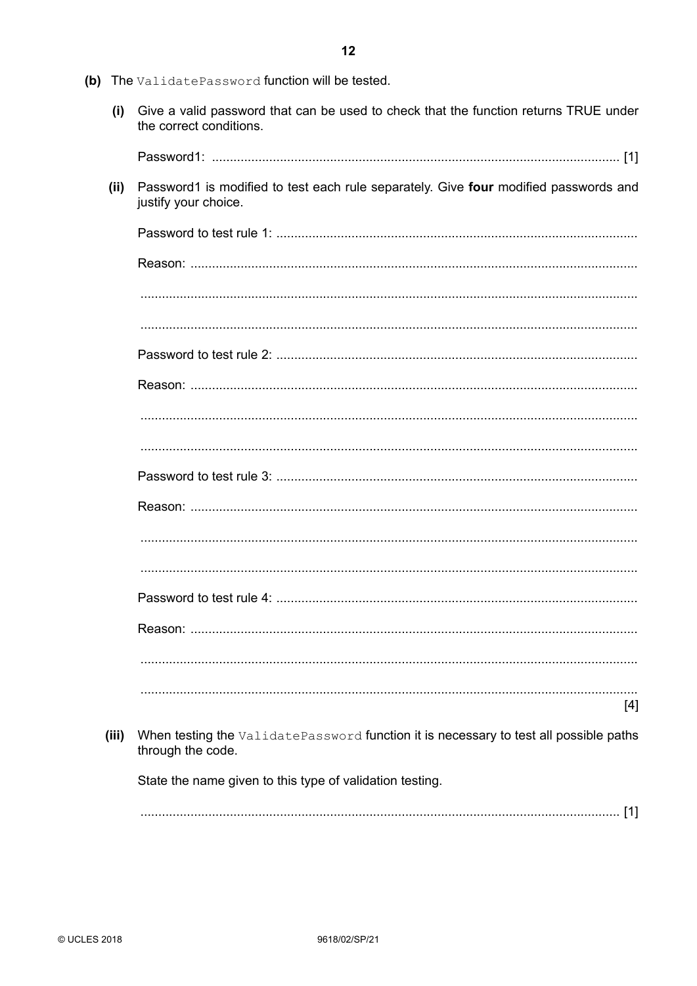|       | (b) The ValidatePassword function will be tested.                                                               |
|-------|-----------------------------------------------------------------------------------------------------------------|
| (i)   | Give a valid password that can be used to check that the function returns TRUE under<br>the correct conditions. |
|       |                                                                                                                 |
| (ii)  | Password1 is modified to test each rule separately. Give four modified passwords and<br>justify your choice.    |
|       |                                                                                                                 |
|       |                                                                                                                 |
|       |                                                                                                                 |
|       |                                                                                                                 |
|       |                                                                                                                 |
|       |                                                                                                                 |
|       |                                                                                                                 |
|       |                                                                                                                 |
|       |                                                                                                                 |
|       |                                                                                                                 |
|       |                                                                                                                 |
|       |                                                                                                                 |
|       | Password to test rule 4:                                                                                        |
|       |                                                                                                                 |
|       |                                                                                                                 |
|       |                                                                                                                 |
|       | [4]                                                                                                             |
| (iii) | When testing the ValidatePassword function it is necessary to test all possible paths<br>through the code.      |
|       | State the name given to this type of validation testing.                                                        |
|       | $[1]$                                                                                                           |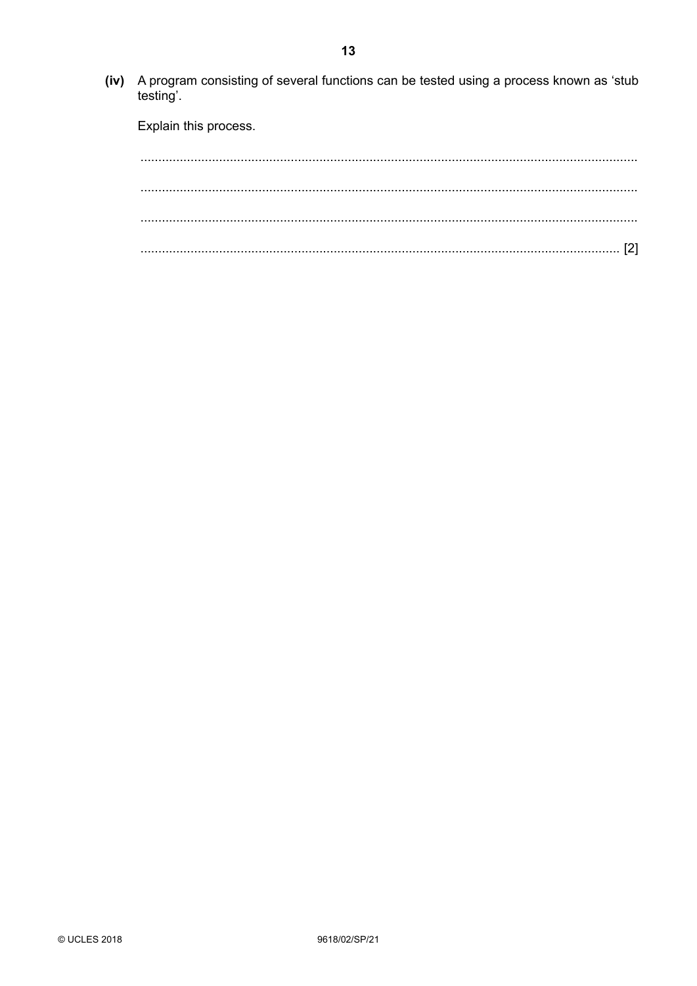(iv) A program consisting of several functions can be tested using a process known as 'stub testing'.

Explain this process.